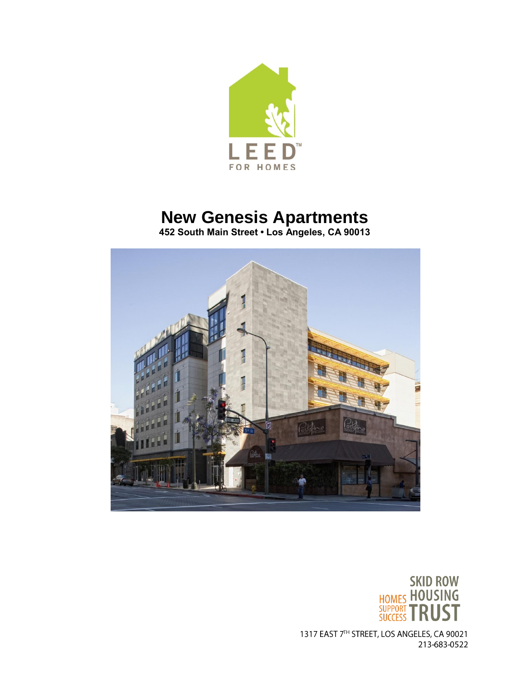

# **New Genesis Apartments**

**452 South Main Street • Los Angeles, CA 90013**





1317 EAST 7TH STREET, LOS ANGELES, CA 90021 213-683-0522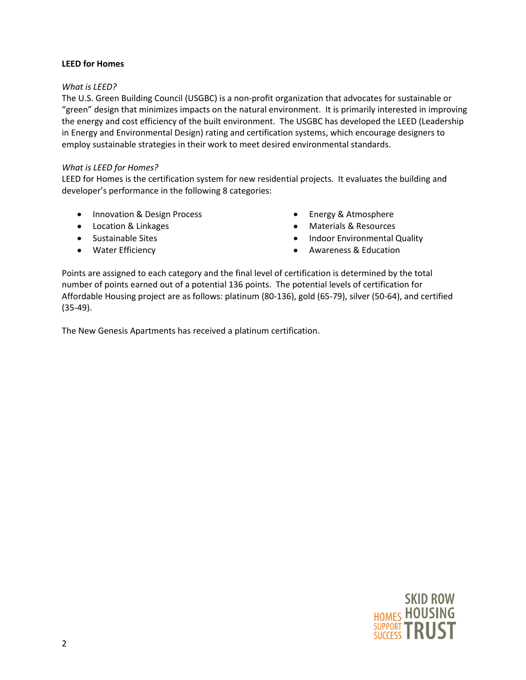## **LEED for Homes**

## *What is LEED?*

The U.S. Green Building Council (USGBC) is a non-profit organization that advocates for sustainable or "green" design that minimizes impacts on the natural environment. It is primarily interested in improving the energy and cost efficiency of the built environment. The USGBC has developed the LEED (Leadership in Energy and Environmental Design) rating and certification systems, which encourage designers to employ sustainable strategies in their work to meet desired environmental standards.

## *What is LEED for Homes?*

LEED for Homes is the certification system for new residential projects. It evaluates the building and developer's performance in the following 8 categories:

- Innovation & Design Process
- Location & Linkages
- Sustainable Sites
- Water Efficiency
- Energy & Atmosphere
- Materials & Resources
- Indoor Environmental Quality
- Awareness & Education

Points are assigned to each category and the final level of certification is determined by the total number of points earned out of a potential 136 points. The potential levels of certification for Affordable Housing project are as follows: platinum (80-136), gold (65-79), silver (50-64), and certified (35-49).

The New Genesis Apartments has received a platinum certification.

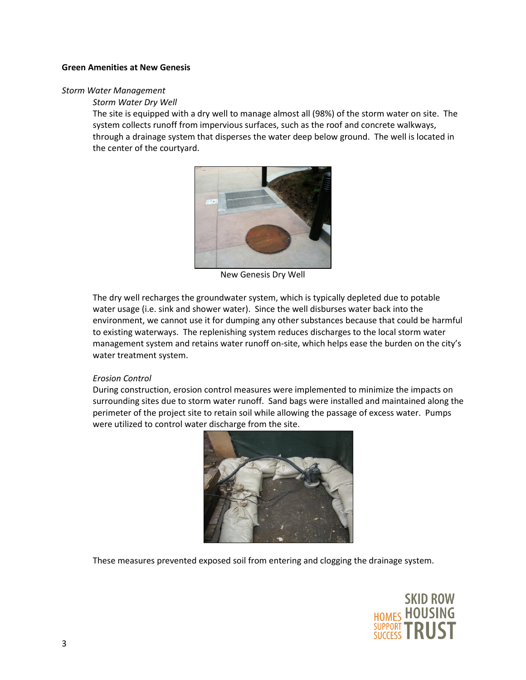#### **Green Amenities at New Genesis**

#### *Storm Water Management*

#### *Storm Water Dry Well*

The site is equipped with a dry well to manage almost all (98%) of the storm water on site. The system collects runoff from impervious surfaces, such as the roof and concrete walkways, through a drainage system that disperses the water deep below ground. The well is located in the center of the courtyard.



New Genesis Dry Well

The dry well recharges the groundwater system, which is typically depleted due to potable water usage (i.e. sink and shower water). Since the well disburses water back into the environment, we cannot use it for dumping any other substances because that could be harmful to existing waterways. The replenishing system reduces discharges to the local storm water management system and retains water runoff on-site, which helps ease the burden on the city's water treatment system.

## *Erosion Control*

During construction, erosion control measures were implemented to minimize the impacts on surrounding sites due to storm water runoff. Sand bags were installed and maintained along the perimeter of the project site to retain soil while allowing the passage of excess water. Pumps were utilized to control water discharge from the site.



These measures prevented exposed soil from entering and clogging the drainage system.

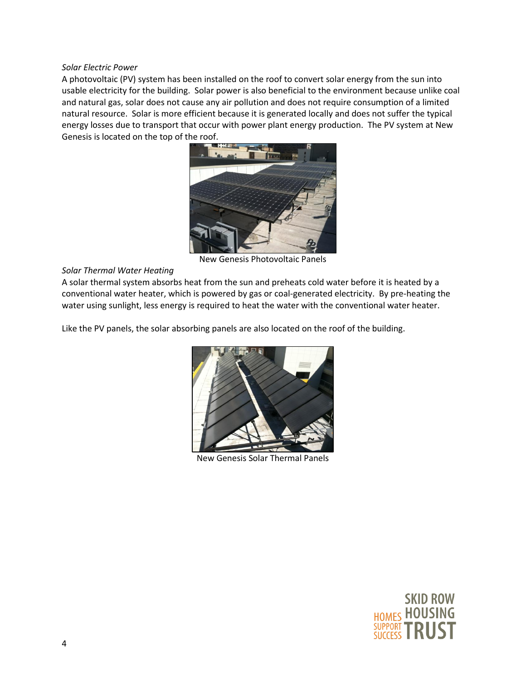#### *Solar Electric Power*

A photovoltaic (PV) system has been installed on the roof to convert solar energy from the sun into usable electricity for the building. Solar power is also beneficial to the environment because unlike coal and natural gas, solar does not cause any air pollution and does not require consumption of a limited natural resource. Solar is more efficient because it is generated locally and does not suffer the typical energy losses due to transport that occur with power plant energy production. The PV system at New Genesis is located on the top of the roof.



New Genesis Photovoltaic Panels

# *Solar Thermal Water Heating*

A solar thermal system absorbs heat from the sun and preheats cold water before it is heated by a conventional water heater, which is powered by gas or coal-generated electricity. By pre-heating the water using sunlight, less energy is required to heat the water with the conventional water heater.

Like the PV panels, the solar absorbing panels are also located on the roof of the building.



New Genesis Solar Thermal Panels

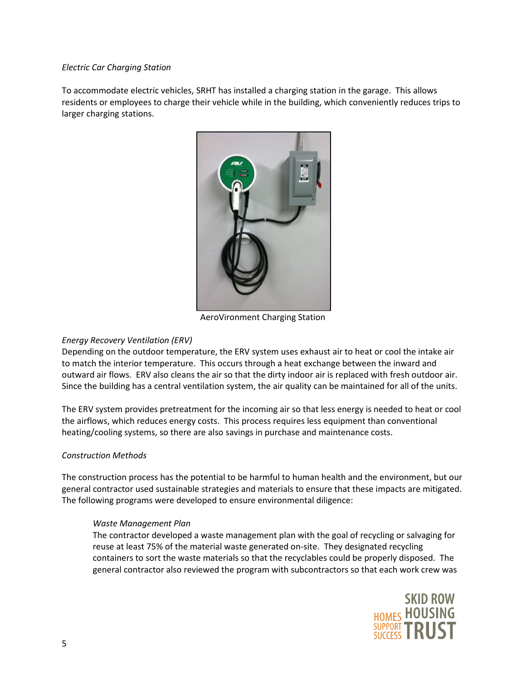## *Electric Car Charging Station*

To accommodate electric vehicles, SRHT has installed a charging station in the garage. This allows residents or employees to charge their vehicle while in the building, which conveniently reduces trips to larger charging stations.



AeroVironment Charging Station

## *Energy Recovery Ventilation (ERV)*

Depending on the outdoor temperature, the ERV system uses exhaust air to heat or cool the intake air to match the interior temperature. This occurs through a heat exchange between the inward and outward air flows. ERV also cleans the air so that the dirty indoor air is replaced with fresh outdoor air. Since the building has a central ventilation system, the air quality can be maintained for all of the units.

The ERV system provides pretreatment for the incoming air so that less energy is needed to heat or cool the airflows, which reduces energy costs. This process requires less equipment than conventional heating/cooling systems, so there are also savings in purchase and maintenance costs.

#### *Construction Methods*

The construction process has the potential to be harmful to human health and the environment, but our general contractor used sustainable strategies and materials to ensure that these impacts are mitigated. The following programs were developed to ensure environmental diligence:

#### *Waste Management Plan*

The contractor developed a waste management plan with the goal of recycling or salvaging for reuse at least 75% of the material waste generated on-site. They designated recycling containers to sort the waste materials so that the recyclables could be properly disposed. The general contractor also reviewed the program with subcontractors so that each work crew was

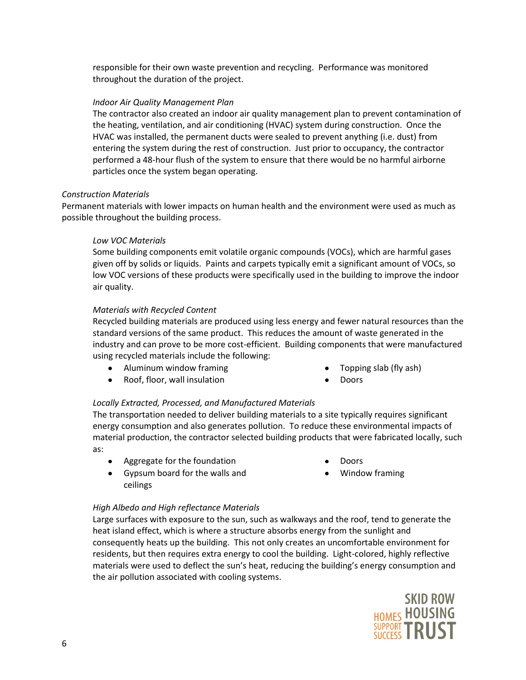responsible for their own waste prevention and recycling. Performance was monitored throughout the duration of the project.

## *Indoor Air Quality Management Plan*

The contractor also created an indoor air quality management plan to prevent contamination of the heating, ventilation, and air conditioning (HVAC) system during construction. Once the HVAC was installed, the permanent ducts were sealed to prevent anything (i.e. dust) from entering the system during the rest of construction. Just prior to occupancy, the contractor performed a 48-hour flush of the system to ensure that there would be no harmful airborne particles once the system began operating.

#### *Construction Materials*

Permanent materials with lower impacts on human health and the environment were used as much as possible throughout the building process.

## *Low VOC Materials*

Some building components emit volatile organic compounds (VOCs), which are harmful gases given off by solids or liquids. Paints and carpets typically emit a significant amount of VOCs, so low VOC versions of these products were specifically used in the building to improve the indoor air quality.

#### *Materials with Recycled Content*

Recycled building materials are produced using less energy and fewer natural resources than the standard versions of the same product. This reduces the amount of waste generated in the industry and can prove to be more cost-efficient. Building components that were manufactured using recycled materials include the following:

- Aluminum window framing
- Roof, floor, wall insulation
- Topping slab (fly ash)
- Doors

## *Locally Extracted, Processed, and Manufactured Materials*

The transportation needed to deliver building materials to a site typically requires significant energy consumption and also generates pollution. To reduce these environmental impacts of material production, the contractor selected building products that were fabricated locally, such as:

Aggregate for the foundation

- Doors
- $\bullet$ Gypsum board for the walls and ceilings
- Window framing

## *High Albedo and High reflectance Materials*

Large surfaces with exposure to the sun, such as walkways and the roof, tend to generate the heat island effect, which is where a structure absorbs energy from the sunlight and consequently heats up the building. This not only creates an uncomfortable environment for residents, but then requires extra energy to cool the building. Light-colored, highly reflective materials were used to deflect the sun's heat, reducing the building's energy consumption and the air pollution associated with cooling systems.

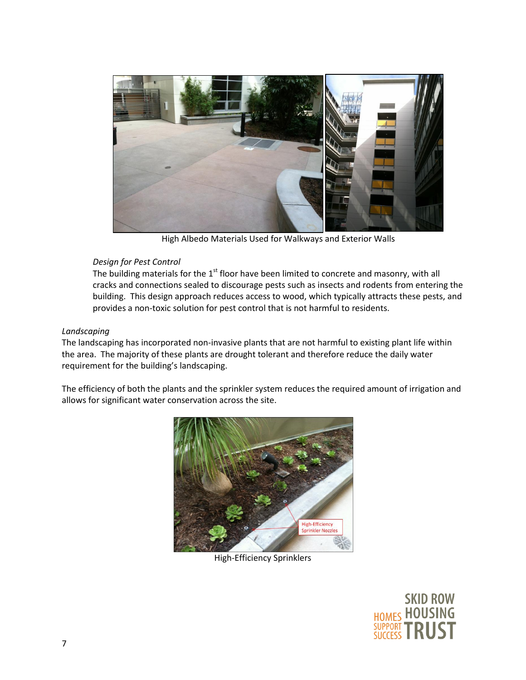

High Albedo Materials Used for Walkways and Exterior Walls

# *Design for Pest Control*

The building materials for the  $1<sup>st</sup>$  floor have been limited to concrete and masonry, with all cracks and connections sealed to discourage pests such as insects and rodents from entering the building. This design approach reduces access to wood, which typically attracts these pests, and provides a non-toxic solution for pest control that is not harmful to residents.

# *Landscaping*

The landscaping has incorporated non-invasive plants that are not harmful to existing plant life within the area. The majority of these plants are drought tolerant and therefore reduce the daily water requirement for the building's landscaping.

The efficiency of both the plants and the sprinkler system reduces the required amount of irrigation and allows for significant water conservation across the site.



High-Efficiency Sprinklers

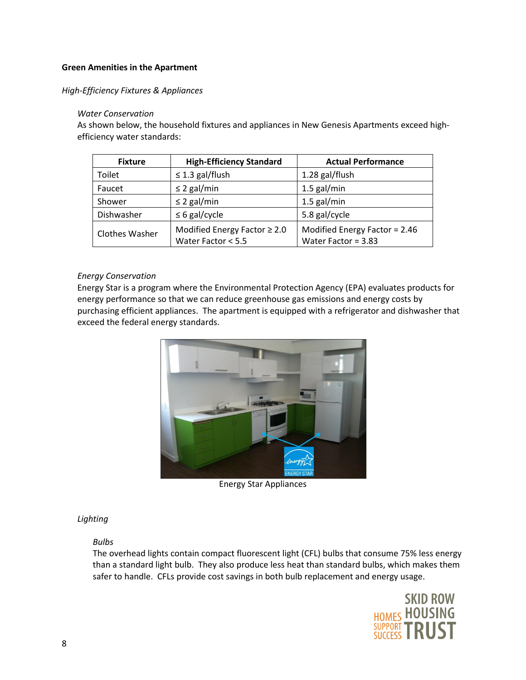## **Green Amenities in the Apartment**

*High-Efficiency Fixtures & Appliances*

## *Water Conservation*

As shown below, the household fixtures and appliances in New Genesis Apartments exceed highefficiency water standards:

| <b>Fixture</b>        | <b>High-Efficiency Standard</b>                         | <b>Actual Performance</b>                              |
|-----------------------|---------------------------------------------------------|--------------------------------------------------------|
| Toilet                | $\leq$ 1.3 gal/flush                                    | 1.28 gal/flush                                         |
| Faucet                | $\leq$ 2 gal/min                                        | $1.5$ gal/min                                          |
| Shower                | $\leq$ 2 gal/min                                        | $1.5$ gal/min                                          |
| Dishwasher            | $\leq 6$ gal/cycle                                      | 5.8 gal/cycle                                          |
| <b>Clothes Washer</b> | Modified Energy Factor $\geq 2.0$<br>Water Factor < 5.5 | Modified Energy Factor = 2.46<br>Water Factor = $3.83$ |

#### *Energy Conservation*

Energy Star is a program where the Environmental Protection Agency (EPA) evaluates products for energy performance so that we can reduce greenhouse gas emissions and energy costs by purchasing efficient appliances. The apartment is equipped with a refrigerator and dishwasher that exceed the federal energy standards.



Energy Star Appliances

## *Lighting*

## *Bulbs*

The overhead lights contain compact fluorescent light (CFL) bulbs that consume 75% less energy than a standard light bulb. They also produce less heat than standard bulbs, which makes them safer to handle. CFLs provide cost savings in both bulb replacement and energy usage.